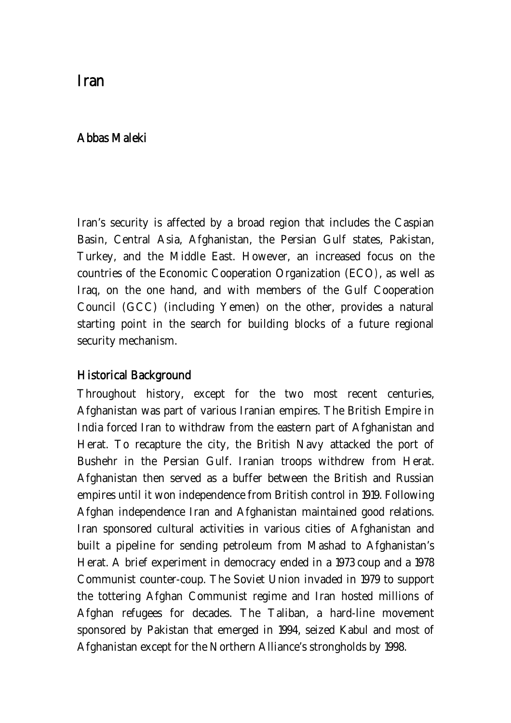# Iran

#### Abbas Maleki

Iran's security is affected by a broad region that includes the Caspian Basin, Central Asia, Afghanistan, the Persian Gulf states, Pakistan, Turkey, and the Middle East. However, an increased focus on the countries of the Economic Cooperation Organization (ECO*)*, as well as Iraq, on the one hand, and with members of the Gulf Cooperation Council (GCC) (including Yemen) on the other, provides a natural starting point in the search for building blocks of a future regional security mechanism.

## Historical Background

Throughout history, except for the two most recent centuries, Afghanistan was part of various Iranian empires. The British Empire in India forced Iran to withdraw from the eastern part of Afghanistan and Herat. To recapture the city, the British Navy attacked the port of Bushehr in the Persian Gulf. Iranian troops withdrew from Herat. Afghanistan then served as a buffer between the British and Russian empires until it won independence from British control in 1919. Following Afghan independence Iran and Afghanistan maintained good relations. Iran sponsored cultural activities in various cities of Afghanistan and built a pipeline for sending petroleum from Mashad to Afghanistan's Herat. A brief experiment in democracy ended in a 1973 coup and a 1978 Communist counter-coup. The Soviet Union invaded in 1979 to support the tottering Afghan Communist regime and Iran hosted millions of Afghan refugees for decades. The Taliban, a hard-line movement sponsored by Pakistan that emerged in 1994, seized Kabul and most of Afghanistan except for the Northern Alliance's strongholds by 1998.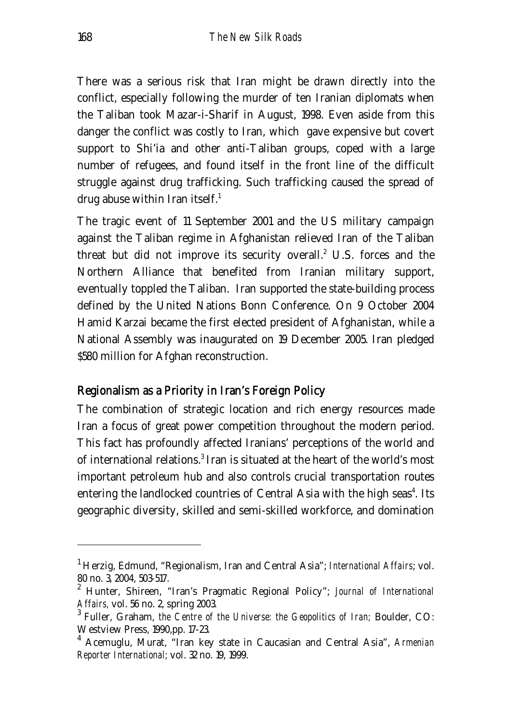There was a serious risk that Iran might be drawn directly into the conflict, especially following the murder of ten Iranian diplomats when the Taliban took Mazar-i-Sharif in August, 1998. Even aside from this danger the conflict was costly to Iran, which gave expensive but covert support to Shi'ia and other anti-Taliban groups, coped with a large number of refugees, and found itself in the front line of the difficult struggle against drug trafficking. Such trafficking caused the spread of drug abuse within Iran itself.<sup>1</sup>

The tragic event of 11 September 2001 and the US military campaign against the Taliban regime in Afghanistan relieved Iran of the Taliban threat but did not improve its security overall. $2$  U.S. forces and the Northern Alliance that benefited from Iranian military support, eventually toppled the Taliban. Iran supported the state-building process defined by the United Nations Bonn Conference. On 9 October 2004 Hamid Karzai became the first elected president of Afghanistan, while a National Assembly was inaugurated on 19 December 2005. Iran pledged \$580 million for Afghan reconstruction.

## Regionalism as a Priority in Iran's Foreign Policy

The combination of strategic location and rich energy resources made Iran a focus of great power competition throughout the modern period. This fact has profoundly affected Iranians' perceptions of the world and of international relations.<sup>3</sup> Iran is situated at the heart of the world's most important petroleum hub and also controls crucial transportation routes entering the landlocked countries of Central Asia with the high seas<sup>4</sup>. Its geographic diversity, skilled and semi-skilled workforce, and domination

<sup>1</sup> Herzig, Edmund, "Regionalism, Iran and Central Asia"; *International Affairs*; vol. 80 no. 3, 2004, 503-517.

<sup>2</sup> Hunter, Shireen, "Iran's Pragmatic Regional Policy"; *Journal of International Affairs, vol.* 56 no. 2, spring 2003.

Fuller, Graham, *the Centre of the Universe: the Geopolitics of Iran;* Boulder, CO: Westview Press, 1990,pp. 17-23.

<sup>4</sup> Acemuglu, Murat, "Iran key state in Caucasian and Central Asia", *Armenian Reporter International;* vol. 32 no. 19, 1999.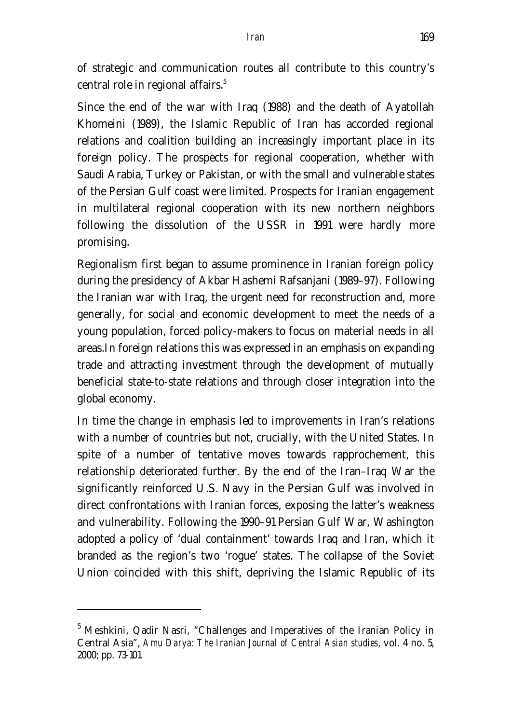of strategic and communication routes all contribute to this country's central role in regional affairs.<sup>5</sup>

Since the end of the war with Iraq (1988) and the death of Ayatollah Khomeini (1989), the Islamic Republic of Iran has accorded regional relations and coalition building an increasingly important place in its foreign policy. The prospects for regional cooperation, whether with Saudi Arabia, Turkey or Pakistan, or with the small and vulnerable states of the Persian Gulf coast were limited. Prospects for Iranian engagement in multilateral regional cooperation with its new northern neighbors following the dissolution of the USSR in 1991 were hardly more promising.

Regionalism first began to assume prominence in Iranian foreign policy during the presidency of Akbar Hashemi Rafsanjani (1989–97). Following the Iranian war with Iraq, the urgent need for reconstruction and, more generally, for social and economic development to meet the needs of a young population, forced policy-makers to focus on material needs in all areas.In foreign relations this was expressed in an emphasis on expanding trade and attracting investment through the development of mutually beneficial state-to-state relations and through closer integration into the global economy.

In time the change in emphasis led to improvements in Iran's relations with a number of countries but not, crucially, with the United States. In spite of a number of tentative moves towards rapprochement, this relationship deteriorated further. By the end of the Iran–Iraq War the significantly reinforced U.S. Navy in the Persian Gulf was involved in direct confrontations with Iranian forces, exposing the latter's weakness and vulnerability. Following the 1990–91 Persian Gulf War, Washington adopted a policy of 'dual containment' towards Iraq and Iran, which it branded as the region's two 'rogue' states. The collapse of the Soviet Union coincided with this shift, depriving the Islamic Republic of its

<sup>&</sup>lt;sup>5</sup> Meshkini, Qadir Nasri, "Challenges and Imperatives of the Iranian Policy in Central Asia", *Amu Darya: The Iranian Journal of Central Asian studies*, vol. 4 no. 5, 2000; pp. 73-101.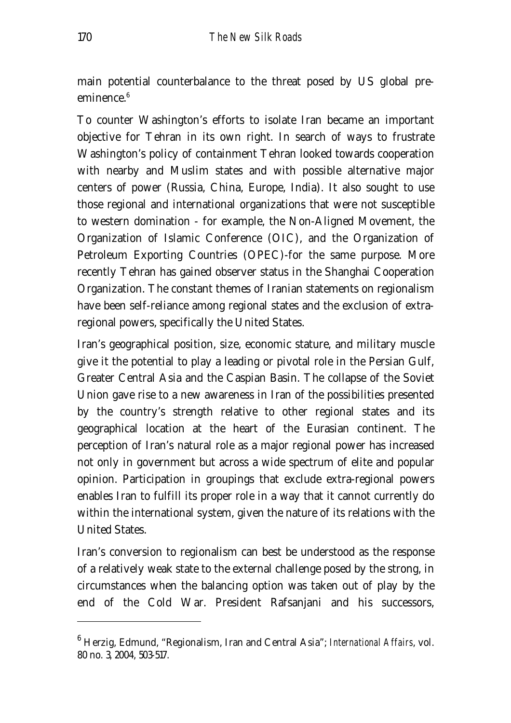main potential counterbalance to the threat posed by US global preeminence.<sup>6</sup>

To counter Washington's efforts to isolate Iran became an important objective for Tehran in its own right. In search of ways to frustrate Washington's policy of containment Tehran looked towards cooperation with nearby and Muslim states and with possible alternative major centers of power (Russia, China, Europe, India). It also sought to use those regional and international organizations that were not susceptible to western domination - for example, the Non-Aligned Movement, the Organization of Islamic Conference (OIC), and the Organization of Petroleum Exporting Countries (OPEC)-for the same purpose. More recently Tehran has gained observer status in the Shanghai Cooperation Organization. The constant themes of Iranian statements on regionalism have been self-reliance among regional states and the exclusion of extraregional powers, specifically the United States.

Iran's geographical position, size, economic stature, and military muscle give it the potential to play a leading or pivotal role in the Persian Gulf, Greater Central Asia and the Caspian Basin. The collapse of the Soviet Union gave rise to a new awareness in Iran of the possibilities presented by the country's strength relative to other regional states and its geographical location at the heart of the Eurasian continent. The perception of Iran's natural role as a major regional power has increased not only in government but across a wide spectrum of elite and popular opinion. Participation in groupings that exclude extra-regional powers enables Iran to fulfill its proper role in a way that it cannot currently do within the international system, given the nature of its relations with the United States.

Iran's conversion to regionalism can best be understood as the response of a relatively weak state to the external challenge posed by the strong, in circumstances when the balancing option was taken out of play by the end of the Cold War. President Rafsanjani and his successors,

<sup>6</sup> Herzig, Edmund, "Regionalism, Iran and Central Asia"; *International Affairs*, vol. 80 no. 3, 2004, 503-517.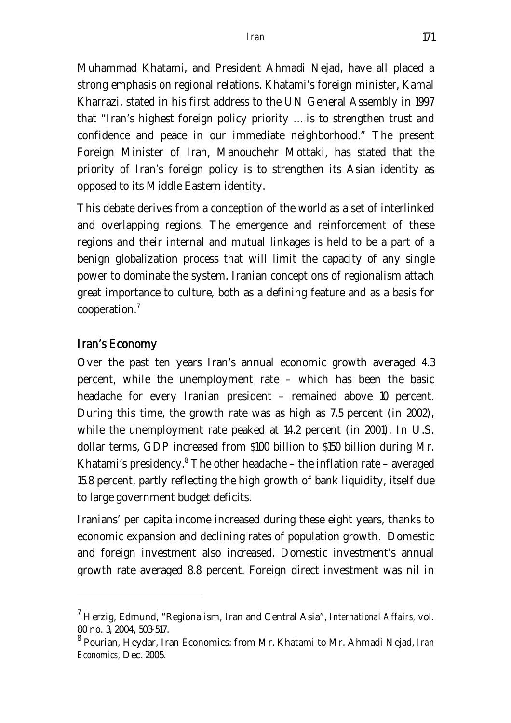Muhammad Khatami, and President Ahmadi Nejad, have all placed a strong emphasis on regional relations. Khatami's foreign minister, Kamal Kharrazi, stated in his first address to the UN General Assembly in 1997 that "Iran's highest foreign policy priority … is to strengthen trust and confidence and peace in our immediate neighborhood." The present Foreign Minister of Iran, Manouchehr Mottaki, has stated that the priority of Iran's foreign policy is to strengthen its Asian identity as opposed to its Middle Eastern identity.

This debate derives from a conception of the world as a set of interlinked and overlapping regions. The emergence and reinforcement of these regions and their internal and mutual linkages is held to be a part of a benign globalization process that will limit the capacity of any single power to dominate the system. Iranian conceptions of regionalism attach great importance to culture, both as a defining feature and as a basis for cooperation.7

#### Iran's Economy

 $\overline{a}$ 

Over the past ten years Iran's annual economic growth averaged 4.3 percent, while the unemployment rate – which has been the basic headache for every Iranian president – remained above 10 percent. During this time, the growth rate was as high as 7.5 percent (in 2002), while the unemployment rate peaked at 14.2 percent (in 2001). In U.S. dollar terms, GDP increased from \$100 billion to \$150 billion during Mr. Khatami's presidency. $8$  The other headache – the inflation rate – averaged 15.8 percent, partly reflecting the high growth of bank liquidity, itself due to large government budget deficits.

Iranians' per capita income increased during these eight years, thanks to economic expansion and declining rates of population growth. Domestic and foreign investment also increased. Domestic investment's annual growth rate averaged 8.8 percent. Foreign direct investment was nil in

<sup>7</sup> Herzig, Edmund, "Regionalism, Iran and Central Asia", *International Affairs,* vol. 80 no. 3, 2004, 503-517.

<sup>8</sup> Pourian, Heydar, Iran Economics: from Mr. Khatami to Mr. Ahmadi Nejad, *Iran Economics,* Dec. 2005.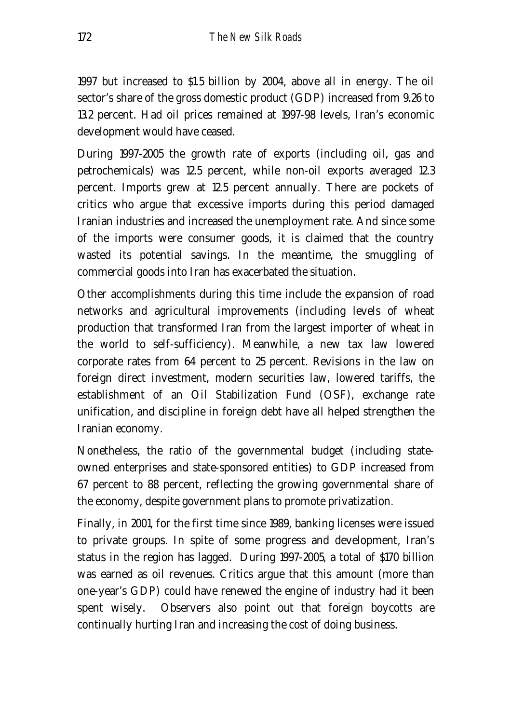1997 but increased to \$1.5 billion by 2004, above all in energy. The oil sector's share of the gross domestic product (GDP) increased from 9.26 to 13.2 percent. Had oil prices remained at 1997-98 levels, Iran's economic development would have ceased.

During 1997-2005 the growth rate of exports (including oil, gas and petrochemicals) was 12.5 percent, while non-oil exports averaged 12.3 percent. Imports grew at 12.5 percent annually. There are pockets of critics who argue that excessive imports during this period damaged Iranian industries and increased the unemployment rate. And since some of the imports were consumer goods, it is claimed that the country wasted its potential savings. In the meantime, the smuggling of commercial goods into Iran has exacerbated the situation.

Other accomplishments during this time include the expansion of road networks and agricultural improvements (including levels of wheat production that transformed Iran from the largest importer of wheat in the world to self-sufficiency). Meanwhile, a new tax law lowered corporate rates from 64 percent to 25 percent. Revisions in the law on foreign direct investment, modern securities law, lowered tariffs, the establishment of an Oil Stabilization Fund (OSF), exchange rate unification, and discipline in foreign debt have all helped strengthen the Iranian economy.

Nonetheless, the ratio of the governmental budget (including stateowned enterprises and state-sponsored entities) to GDP increased from 67 percent to 88 percent, reflecting the growing governmental share of the economy, despite government plans to promote privatization.

Finally, in 2001, for the first time since 1989, banking licenses were issued to private groups. In spite of some progress and development, Iran's status in the region has lagged. During 1997-2005, a total of \$170 billion was earned as oil revenues. Critics argue that this amount (more than one-year's GDP) could have renewed the engine of industry had it been spent wisely. Observers also point out that foreign boycotts are continually hurting Iran and increasing the cost of doing business.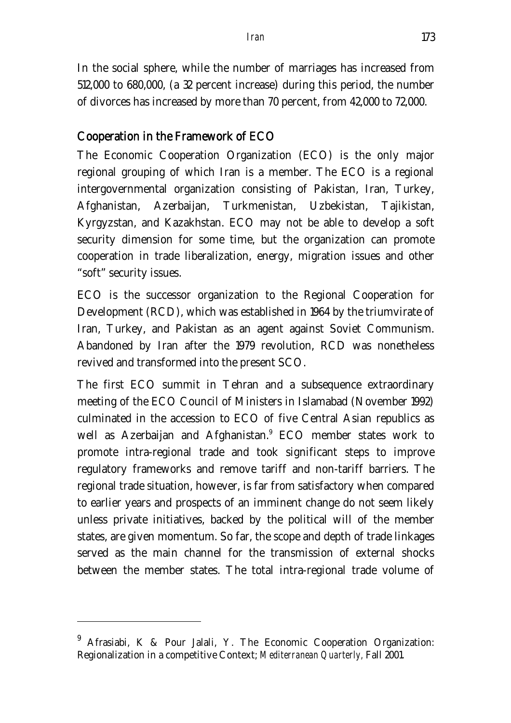In the social sphere, while the number of marriages has increased from 512,000 to 680,000, (a 32 percent increase) during this period, the number of divorces has increased by more than 70 percent, from 42,000 to 72,000.

## Cooperation in the Framework of ECO

The Economic Cooperation Organization (ECO) is the only major regional grouping of which Iran is a member. The ECO is a regional intergovernmental organization consisting of Pakistan, Iran, Turkey, Afghanistan, Azerbaijan, Turkmenistan, Uzbekistan, Tajikistan, Kyrgyzstan, and Kazakhstan. ECO may not be able to develop a soft security dimension for some time, but the organization can promote cooperation in trade liberalization, energy, migration issues and other "soft" security issues.

ECO is the successor organization to the Regional Cooperation for Development (RCD), which was established in 1964 by the triumvirate of Iran, Turkey, and Pakistan as an agent against Soviet Communism. Abandoned by Iran after the 1979 revolution, RCD was nonetheless revived and transformed into the present SCO.

The first ECO summit in Tehran and a subsequence extraordinary meeting of the ECO Council of Ministers in Islamabad (November 1992) culminated in the accession to ECO of five Central Asian republics as well as Azerbaijan and Afghanistan.<sup>9</sup> ECO member states work to promote intra-regional trade and took significant steps to improve regulatory frameworks and remove tariff and non-tariff barriers. The regional trade situation, however, is far from satisfactory when compared to earlier years and prospects of an imminent change do not seem likely unless private initiatives, backed by the political will of the member states, are given momentum. So far, the scope and depth of trade linkages served as the main channel for the transmission of external shocks between the member states. The total intra-regional trade volume of

<sup>&</sup>lt;sup>9</sup> Afrasiabi, K & Pour Jalali, Y. The Economic Cooperation Organization: Regionalization in a competitive Context; *Mediterranean Quarterly,* Fall 2001.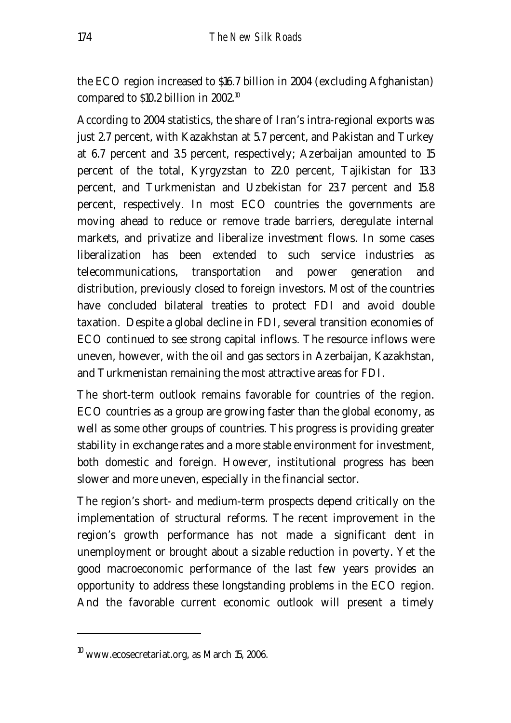the ECO region increased to \$16.7 billion in 2004 (excluding Afghanistan) compared to \$10.2 billion in 2002.10

According to 2004 statistics, the share of Iran's intra-regional exports was just 2.7 percent, with Kazakhstan at 5.7 percent, and Pakistan and Turkey at 6.7 percent and 3.5 percent, respectively; Azerbaijan amounted to 15 percent of the total, Kyrgyzstan to 22.0 percent, Tajikistan for 13.3 percent, and Turkmenistan and Uzbekistan for 23.7 percent and 15.8 percent, respectively. In most ECO countries the governments are moving ahead to reduce or remove trade barriers, deregulate internal markets, and privatize and liberalize investment flows. In some cases liberalization has been extended to such service industries as telecommunications, transportation and power generation and distribution, previously closed to foreign investors. Most of the countries have concluded bilateral treaties to protect FDI and avoid double taxation. Despite a global decline in FDI, several transition economies of ECO continued to see strong capital inflows. The resource inflows were uneven, however, with the oil and gas sectors in Azerbaijan, Kazakhstan, and Turkmenistan remaining the most attractive areas for FDI.

The short-term outlook remains favorable for countries of the region. ECO countries as a group are growing faster than the global economy, as well as some other groups of countries. This progress is providing greater stability in exchange rates and a more stable environment for investment, both domestic and foreign. However, institutional progress has been slower and more uneven, especially in the financial sector.

The region's short- and medium-term prospects depend critically on the implementation of structural reforms. The recent improvement in the region's growth performance has not made a significant dent in unemployment or brought about a sizable reduction in poverty. Yet the good macroeconomic performance of the last few years provides an opportunity to address these longstanding problems in the ECO region. And the favorable current economic outlook will present a timely

 $10$  www.ecosecretariat.org, as March 15, 2006.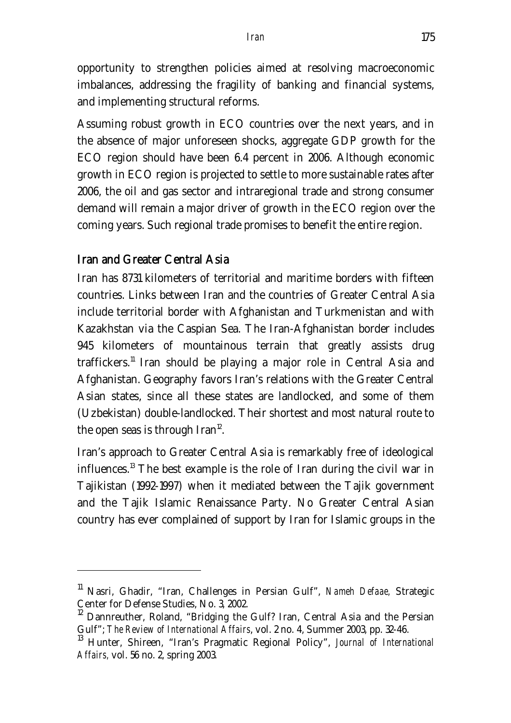opportunity to strengthen policies aimed at resolving macroeconomic imbalances, addressing the fragility of banking and financial systems, and implementing structural reforms.

Assuming robust growth in ECO countries over the next years, and in the absence of major unforeseen shocks, aggregate GDP growth for the ECO region should have been 6.4 percent in 2006. Although economic growth in ECO region is projected to settle to more sustainable rates after 2006, the oil and gas sector and intraregional trade and strong consumer demand will remain a major driver of growth in the ECO region over the coming years. Such regional trade promises to benefit the entire region.

## Iran and Greater Central Asia

 $\overline{a}$ 

Iran has 8731 kilometers of territorial and maritime borders with fifteen countries. Links between Iran and the countries of Greater Central Asia include territorial border with Afghanistan and Turkmenistan and with Kazakhstan via the Caspian Sea. The Iran-Afghanistan border includes 945 kilometers of mountainous terrain that greatly assists drug traffickers.11 Iran should be playing a major role in Central Asia and Afghanistan. Geography favors Iran's relations with the Greater Central Asian states, since all these states are landlocked, and some of them (Uzbekistan) double-landlocked. Their shortest and most natural route to the open seas is through Iran<sup>12</sup>.

Iran's approach to Greater Central Asia is remarkably free of ideological influences.13 The best example is the role of Iran during the civil war in Tajikistan (1992-1997) when it mediated between the Tajik government and the Tajik Islamic Renaissance Party. No Greater Central Asian country has ever complained of support by Iran for Islamic groups in the

<sup>11</sup> Nasri, Ghadir, "Iran, Challenges in Persian Gulf", *Nameh Defaae,* Strategic Center for Defense Studies, No. 3, 2002.

<sup>12</sup> Dannreuther, Roland, "Bridging the Gulf? Iran, Central Asia and the Persian Gulf"; *The Review of International Affairs*, vol. 2 no. 4, Summer 2003, pp. 32-46.

<sup>13</sup> Hunter, Shireen, "Iran's Pragmatic Regional Policy", *Journal of International Affairs,* vol. 56 no. 2, spring 2003.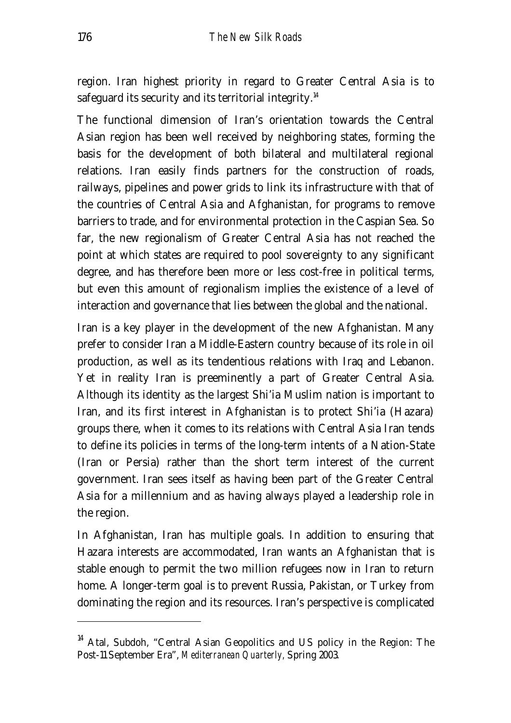region. Iran highest priority in regard to Greater Central Asia is to safeguard its security and its territorial integrity.<sup>14</sup>

The functional dimension of Iran's orientation towards the Central Asian region has been well received by neighboring states, forming the basis for the development of both bilateral and multilateral regional relations. Iran easily finds partners for the construction of roads, railways, pipelines and power grids to link its infrastructure with that of the countries of Central Asia and Afghanistan, for programs to remove barriers to trade, and for environmental protection in the Caspian Sea. So far, the new regionalism of Greater Central Asia has not reached the point at which states are required to pool sovereignty to any significant degree, and has therefore been more or less cost-free in political terms, but even this amount of regionalism implies the existence of a level of interaction and governance that lies between the global and the national.

Iran is a key player in the development of the new Afghanistan. Many prefer to consider Iran a Middle-Eastern country because of its role in oil production, as well as its tendentious relations with Iraq and Lebanon. Yet in reality Iran is preeminently a part of Greater Central Asia. Although its identity as the largest Shi'ia Muslim nation is important to Iran, and its first interest in Afghanistan is to protect Shi'ia (Hazara) groups there, when it comes to its relations with Central Asia Iran tends to define its policies in terms of the long-term intents of a Nation-State (Iran or Persia) rather than the short term interest of the current government. Iran sees itself as having been part of the Greater Central Asia for a millennium and as having always played a leadership role in the region.

In Afghanistan, Iran has multiple goals. In addition to ensuring that Hazara interests are accommodated, Iran wants an Afghanistan that is stable enough to permit the two million refugees now in Iran to return home. A longer-term goal is to prevent Russia, Pakistan, or Turkey from dominating the region and its resources. Iran's perspective is complicated

<sup>&</sup>lt;sup>14</sup> Atal, Subdoh, "Central Asian Geopolitics and US policy in the Region: The Post-11 September Era", *Mediterranean Quarterly,* Spring 2003.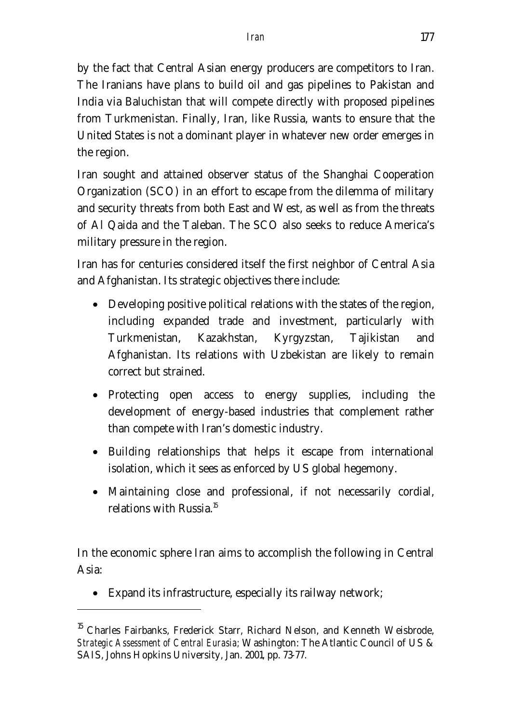by the fact that Central Asian energy producers are competitors to Iran. The Iranians have plans to build oil and gas pipelines to Pakistan and India via Baluchistan that will compete directly with proposed pipelines from Turkmenistan. Finally, Iran, like Russia, wants to ensure that the United States is not a dominant player in whatever new order emerges in the region.

Iran sought and attained observer status of the Shanghai Cooperation Organization (SCO) in an effort to escape from the dilemma of military and security threats from both East and West, as well as from the threats of Al Qaida and the Taleban. The SCO also seeks to reduce America's military pressure in the region.

Iran has for centuries considered itself the first neighbor of Central Asia and Afghanistan. Its strategic objectives there include:

- Developing positive political relations with the states of the region, including expanded trade and investment, particularly with Turkmenistan, Kazakhstan, Kyrgyzstan, Tajikistan and Afghanistan. Its relations with Uzbekistan are likely to remain correct but strained.
- Protecting open access to energy supplies, including the development of energy-based industries that complement rather than compete with Iran's domestic industry.
- Building relationships that helps it escape from international isolation, which it sees as enforced by US global hegemony.
- Maintaining close and professional, if not necessarily cordial, relations with Russia  $^{15}$

In the economic sphere Iran aims to accomplish the following in Central Asia:

• Expand its infrastructure, especially its railway network;

<sup>&</sup>lt;sup>15</sup> Charles Fairbanks, Frederick Starr, Richard Nelson, and Kenneth Weisbrode, *Strategic Assessment of Central Eurasia;* Washington: The Atlantic Council of US & SAIS, Johns Hopkins University, Jan. 2001, pp. 73-77.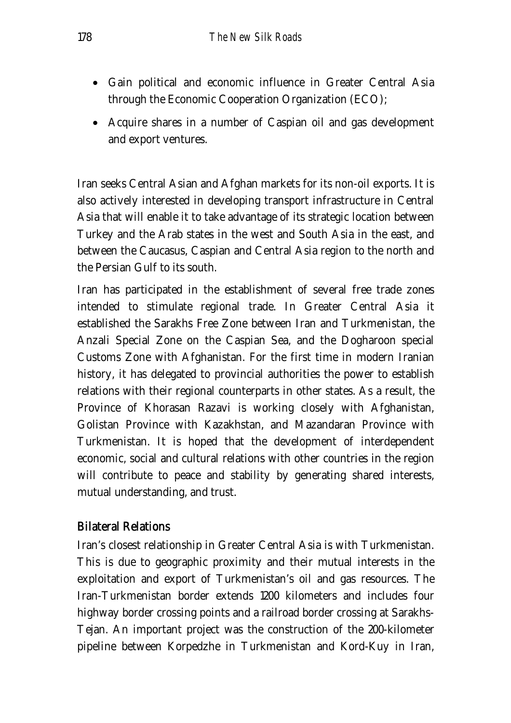- Gain political and economic influence in Greater Central Asia through the Economic Cooperation Organization (ECO);
- Acquire shares in a number of Caspian oil and gas development and export ventures.

Iran seeks Central Asian and Afghan markets for its non-oil exports. It is also actively interested in developing transport infrastructure in Central Asia that will enable it to take advantage of its strategic location between Turkey and the Arab states in the west and South Asia in the east, and between the Caucasus, Caspian and Central Asia region to the north and the Persian Gulf to its south.

Iran has participated in the establishment of several free trade zones intended to stimulate regional trade. In Greater Central Asia it established the Sarakhs Free Zone between Iran and Turkmenistan, the Anzali Special Zone on the Caspian Sea, and the Dogharoon special Customs Zone with Afghanistan. For the first time in modern Iranian history, it has delegated to provincial authorities the power to establish relations with their regional counterparts in other states. As a result, the Province of Khorasan Razavi is working closely with Afghanistan, Golistan Province with Kazakhstan, and Mazandaran Province with Turkmenistan. It is hoped that the development of interdependent economic, social and cultural relations with other countries in the region will contribute to peace and stability by generating shared interests, mutual understanding, and trust.

## Bilateral Relations

Iran's closest relationship in Greater Central Asia is with Turkmenistan. This is due to geographic proximity and their mutual interests in the exploitation and export of Turkmenistan's oil and gas resources. The Iran-Turkmenistan border extends 1200 kilometers and includes four highway border crossing points and a railroad border crossing at Sarakhs-Tejan. An important project was the construction of the 200-kilometer pipeline between Korpedzhe in Turkmenistan and Kord-Kuy in Iran,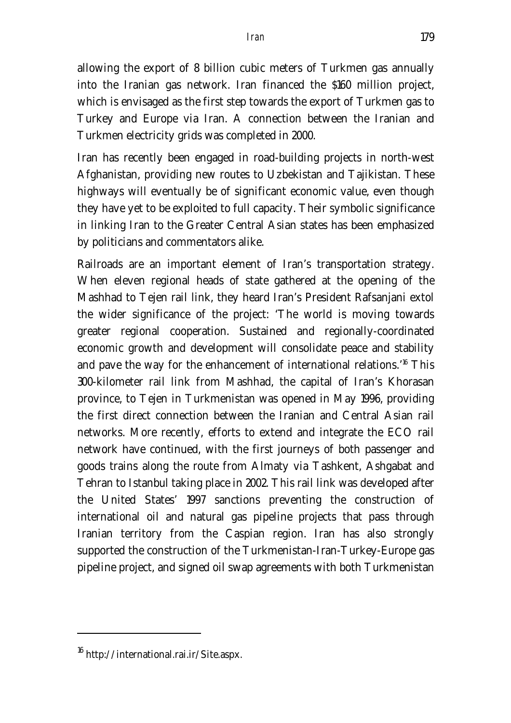allowing the export of 8 billion cubic meters of Turkmen gas annually into the Iranian gas network. Iran financed the \$160 million project, which is envisaged as the first step towards the export of Turkmen gas to Turkey and Europe via Iran. A connection between the Iranian and Turkmen electricity grids was completed in 2000.

Iran has recently been engaged in road-building projects in north-west Afghanistan, providing new routes to Uzbekistan and Tajikistan. These highways will eventually be of significant economic value, even though they have yet to be exploited to full capacity. Their symbolic significance in linking Iran to the Greater Central Asian states has been emphasized by politicians and commentators alike.

Railroads are an important element of Iran's transportation strategy. When eleven regional heads of state gathered at the opening of the Mashhad to Tejen rail link, they heard Iran's President Rafsanjani extol the wider significance of the project: 'The world is moving towards greater regional cooperation. Sustained and regionally-coordinated economic growth and development will consolidate peace and stability and pave the way for the enhancement of international relations.<sup>16</sup> This 300-kilometer rail link from Mashhad, the capital of Iran's Khorasan province, to Tejen in Turkmenistan was opened in May 1996, providing the first direct connection between the Iranian and Central Asian rail networks. More recently, efforts to extend and integrate the ECO rail network have continued, with the first journeys of both passenger and goods trains along the route from Almaty via Tashkent, Ashgabat and Tehran to Istanbul taking place in 2002. This rail link was developed after the United States' 1997 sanctions preventing the construction of international oil and natural gas pipeline projects that pass through Iranian territory from the Caspian region. Iran has also strongly supported the construction of the Turkmenistan-Iran-Turkey-Europe gas pipeline project, and signed oil swap agreements with both Turkmenistan

<sup>16</sup> http://international.rai.ir/Site.aspx.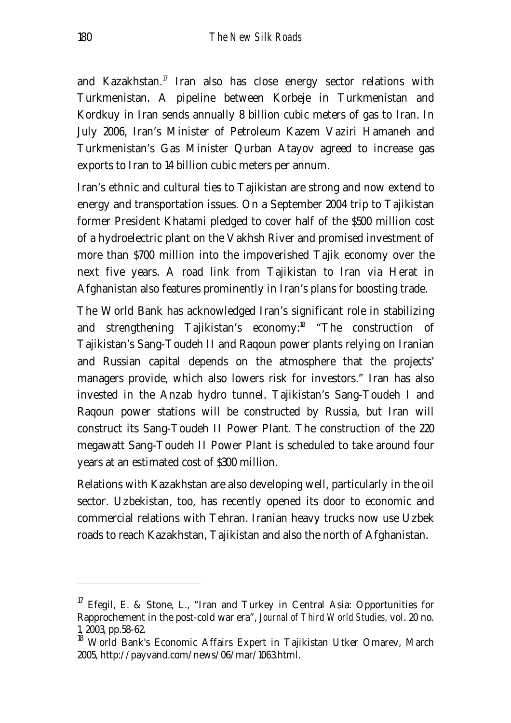and Kazakhstan.<sup>17</sup> Iran also has close energy sector relations with Turkmenistan. A pipeline between Korbeje in Turkmenistan and Kordkuy in Iran sends annually 8 billion cubic meters of gas to Iran. In July 2006, Iran's Minister of Petroleum Kazem Vaziri Hamaneh and Turkmenistan's Gas Minister Qurban Atayov agreed to increase gas exports to Iran to 14 billion cubic meters per annum.

Iran's ethnic and cultural ties to Tajikistan are strong and now extend to energy and transportation issues. On a September 2004 trip to Tajikistan former President Khatami pledged to cover half of the \$500 million cost of a hydroelectric plant on the Vakhsh River and promised investment of more than \$700 million into the impoverished Tajik economy over the next five years. A road link from Tajikistan to Iran via Herat in Afghanistan also features prominently in Iran's plans for boosting trade.

The World Bank has acknowledged Iran's significant role in stabilizing and strengthening Tajikistan's economy:<sup>18</sup> "The construction of Tajikistan's Sang-Toudeh II and Raqoun power plants relying on Iranian and Russian capital depends on the atmosphere that the projects' managers provide, which also lowers risk for investors." Iran has also invested in the Anzab hydro tunnel. Tajikistan's Sang-Toudeh I and Raqoun power stations will be constructed by Russia, but Iran will construct its Sang-Toudeh II Power Plant. The construction of the 220 megawatt Sang-Toudeh II Power Plant is scheduled to take around four years at an estimated cost of \$300 million.

Relations with Kazakhstan are also developing well, particularly in the oil sector. Uzbekistan, too, has recently opened its door to economic and commercial relations with Tehran. Iranian heavy trucks now use Uzbek roads to reach Kazakhstan, Tajikistan and also the north of Afghanistan.

<sup>17</sup> Efegil, E. & Stone, L., "Iran and Turkey in Central Asia: Opportunities for Rapprochement in the post-cold war era", *Journal of Third World Studies,* vol. 20 no. 1, 2003, pp.58-62.

<sup>&</sup>lt;sup>18</sup> World Bank's Economic Affairs Expert in Tajikistan Utker Omarev, March 2005, http://payvand.com/news/06/mar/1063.html.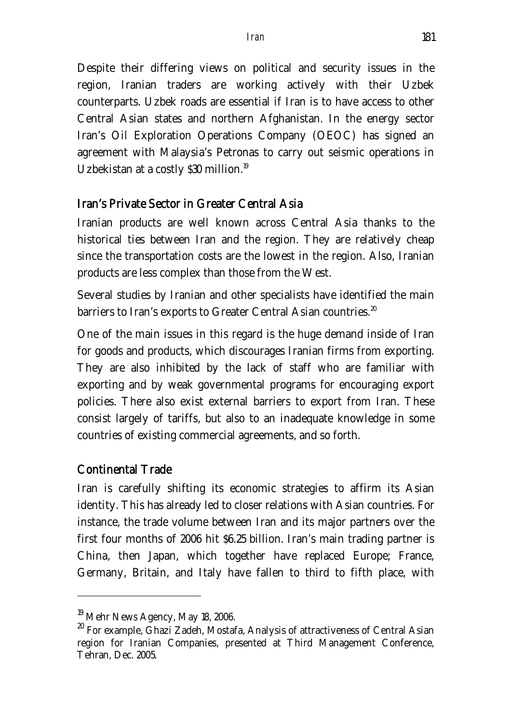Despite their differing views on political and security issues in the region, Iranian traders are working actively with their Uzbek counterparts. Uzbek roads are essential if Iran is to have access to other Central Asian states and northern Afghanistan. In the energy sector Iran's Oil Exploration Operations Company (OEOC) has signed an agreement with Malaysia's Petronas to carry out seismic operations in Uzbekistan at a costly \$30 million.<sup>19</sup>

## Iran's Private Sector in Greater Central Asia

Iranian products are well known across Central Asia thanks to the historical ties between Iran and the region. They are relatively cheap since the transportation costs are the lowest in the region. Also, Iranian products are less complex than those from the West.

Several studies by Iranian and other specialists have identified the main barriers to Iran's exports to Greater Central Asian countries.<sup>20</sup>

One of the main issues in this regard is the huge demand inside of Iran for goods and products, which discourages Iranian firms from exporting. They are also inhibited by the lack of staff who are familiar with exporting and by weak governmental programs for encouraging export policies. There also exist external barriers to export from Iran. These consist largely of tariffs, but also to an inadequate knowledge in some countries of existing commercial agreements, and so forth.

## Continental Trade

 $\overline{a}$ 

Iran is carefully shifting its economic strategies to affirm its Asian identity. This has already led to closer relations with Asian countries. For instance, the trade volume between Iran and its major partners over the first four months of 2006 hit \$6.25 billion. Iran's main trading partner is China, then Japan, which together have replaced Europe; France, Germany, Britain, and Italy have fallen to third to fifth place, with

<sup>&</sup>lt;sup>19</sup> Mehr News Agency, May 18, 2006.

<sup>&</sup>lt;sup>20</sup> For example, Ghazi Zadeh, Mostafa, Analysis of attractiveness of Central Asian region for Iranian Companies, presented at Third Management Conference, Tehran, Dec. 2005.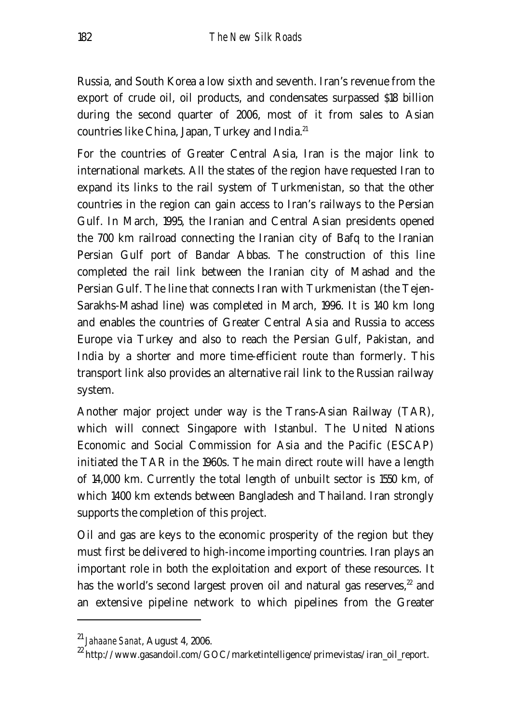Russia, and South Korea a low sixth and seventh. Iran's revenue from the export of crude oil, oil products, and condensates surpassed \$18 billion during the second quarter of 2006, most of it from sales to Asian countries like China, Japan, Turkey and India.<sup>21</sup>

For the countries of Greater Central Asia, Iran is the major link to international markets. All the states of the region have requested Iran to expand its links to the rail system of Turkmenistan, so that the other countries in the region can gain access to Iran's railways to the Persian Gulf. In March, 1995, the Iranian and Central Asian presidents opened the 700 km railroad connecting the Iranian city of Bafq to the Iranian Persian Gulf port of Bandar Abbas. The construction of this line completed the rail link between the Iranian city of Mashad and the Persian Gulf. The line that connects Iran with Turkmenistan (the Tejen-Sarakhs-Mashad line) was completed in March, 1996. It is 140 km long and enables the countries of Greater Central Asia and Russia to access Europe via Turkey and also to reach the Persian Gulf, Pakistan, and India by a shorter and more time-efficient route than formerly. This transport link also provides an alternative rail link to the Russian railway system.

Another major project under way is the Trans-Asian Railway (TAR), which will connect Singapore with Istanbul. The United Nations Economic and Social Commission for Asia and the Pacific (ESCAP) initiated the TAR in the 1960s. The main direct route will have a length of 14,000 km. Currently the total length of unbuilt sector is 1550 km, of which 1400 km extends between Bangladesh and Thailand. Iran strongly supports the completion of this project.

Oil and gas are keys to the economic prosperity of the region but they must first be delivered to high-income importing countries. Iran plays an important role in both the exploitation and export of these resources. It has the world's second largest proven oil and natural gas reserves, $z<sup>2</sup>$  and an extensive pipeline network to which pipelines from the Greater

<sup>21</sup> *Jahaane Sanat*, August 4, 2006.

<sup>22</sup> http://www.gasandoil.com/GOC/marketintelligence/primevistas/iran\_oil\_report.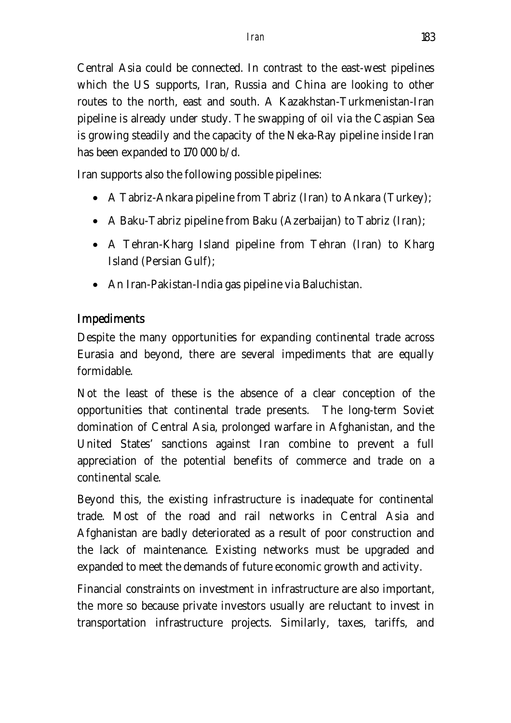Central Asia could be connected. In contrast to the east-west pipelines which the US supports, Iran, Russia and China are looking to other routes to the north, east and south. A Kazakhstan-Turkmenistan-Iran pipeline is already under study. The swapping of oil via the Caspian Sea is growing steadily and the capacity of the Neka-Ray pipeline inside Iran has been expanded to 170 000 b/d.

Iran supports also the following possible pipelines:

- A Tabriz-Ankara pipeline from Tabriz (Iran) to Ankara (Turkey);
- A Baku-Tabriz pipeline from Baku (Azerbaijan) to Tabriz (Iran);
- A Tehran-Kharg Island pipeline from Tehran (Iran) to Kharg Island (Persian Gulf);
- An Iran-Pakistan-India gas pipeline via Baluchistan.

# Impediments

Despite the many opportunities for expanding continental trade across Eurasia and beyond, there are several impediments that are equally formidable.

Not the least of these is the absence of a clear conception of the opportunities that continental trade presents. The long-term Soviet domination of Central Asia, prolonged warfare in Afghanistan, and the United States' sanctions against Iran combine to prevent a full appreciation of the potential benefits of commerce and trade on a continental scale.

Beyond this, the existing infrastructure is inadequate for continental trade. Most of the road and rail networks in Central Asia and Afghanistan are badly deteriorated as a result of poor construction and the lack of maintenance. Existing networks must be upgraded and expanded to meet the demands of future economic growth and activity.

Financial constraints on investment in infrastructure are also important, the more so because private investors usually are reluctant to invest in transportation infrastructure projects. Similarly, taxes, tariffs, and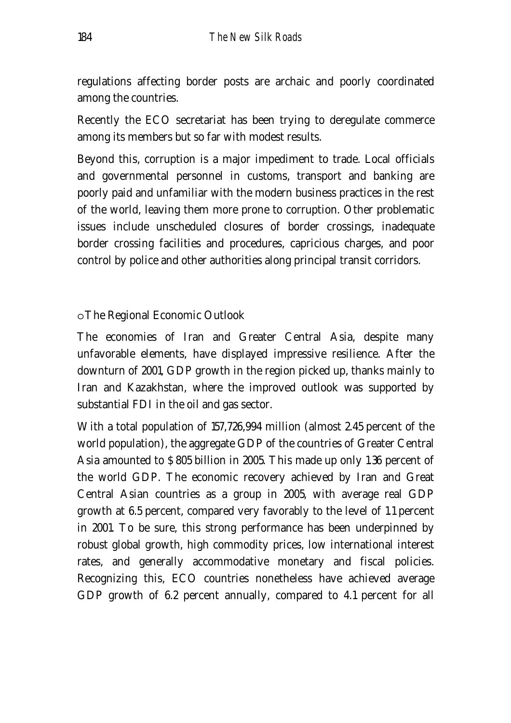regulations affecting border posts are archaic and poorly coordinated among the countries.

Recently the ECO secretariat has been trying to deregulate commerce among its members but so far with modest results.

Beyond this, corruption is a major impediment to trade. Local officials and governmental personnel in customs, transport and banking are poorly paid and unfamiliar with the modern business practices in the rest of the world, leaving them more prone to corruption. Other problematic issues include unscheduled closures of border crossings, inadequate border crossing facilities and procedures, capricious charges, and poor control by police and other authorities along principal transit corridors.

oThe Regional Economic Outlook

The economies of Iran and Greater Central Asia, despite many unfavorable elements, have displayed impressive resilience. After the downturn of 2001, GDP growth in the region picked up, thanks mainly to Iran and Kazakhstan, where the improved outlook was supported by substantial FDI in the oil and gas sector.

With a total population of 157,726,994 million (almost 2.45 percent of the world population), the aggregate GDP of the countries of Greater Central Asia amounted to \$ 805 billion in 2005. This made up only 1.36 percent of the world GDP. The economic recovery achieved by Iran and Great Central Asian countries as a group in 2005, with average real GDP growth at 6.5 percent, compared very favorably to the level of 1.1 percent in 2001. To be sure, this strong performance has been underpinned by robust global growth, high commodity prices, low international interest rates, and generally accommodative monetary and fiscal policies. Recognizing this, ECO countries nonetheless have achieved average GDP growth of 6.2 percent annually, compared to 4.1 percent for all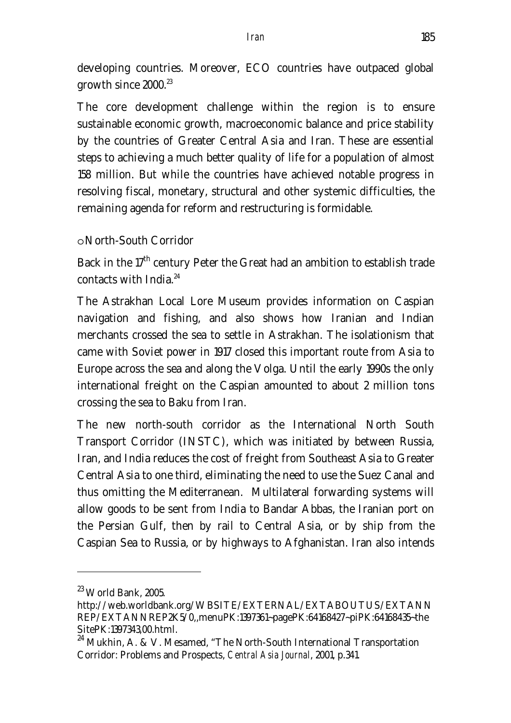developing countries. Moreover, ECO countries have outpaced global growth since 2000.<sup>23</sup>

The core development challenge within the region is to ensure sustainable economic growth, macroeconomic balance and price stability by the countries of Greater Central Asia and Iran. These are essential steps to achieving a much better quality of life for a population of almost 158 million. But while the countries have achieved notable progress in resolving fiscal, monetary, structural and other systemic difficulties, the remaining agenda for reform and restructuring is formidable.

## oNorth-South Corridor

Back in the 17<sup>th</sup> century Peter the Great had an ambition to establish trade contacts with India<sup>24</sup>

The Astrakhan Local Lore Museum provides information on Caspian navigation and fishing, and also shows how Iranian and Indian merchants crossed the sea to settle in Astrakhan. The isolationism that came with Soviet power in 1917 closed this important route from Asia to Europe across the sea and along the Volga. Until the early 1990s the only international freight on the Caspian amounted to about 2 million tons crossing the sea to Baku from Iran.

The new north-south corridor as the International North South Transport Corridor (INSTC), which was initiated by between Russia, Iran, and India reduces the cost of freight from Southeast Asia to Greater Central Asia to one third, eliminating the need to use the Suez Canal and thus omitting the Mediterranean. Multilateral forwarding systems will allow goods to be sent from India to Bandar Abbas, the Iranian port on the Persian Gulf, then by rail to Central Asia, or by ship from the Caspian Sea to Russia, or by highways to Afghanistan. Iran also intends

<sup>23</sup> World Bank, 2005.

http://web.worldbank.org/WBSITE/EXTERNAL/EXTABOUTUS/EXTANN REP/EXTANNREP2K5/0,,menuPK:1397361~pagePK:64168427~piPK:64168435~the SitePK:1397343,00.html.

<sup>&</sup>lt;sup>24</sup> Mukhin, A. & V. Mesamed, "The North-South International Transportation Corridor: Problems and Prospects, *Central Asia Journal*, 2001, p.341.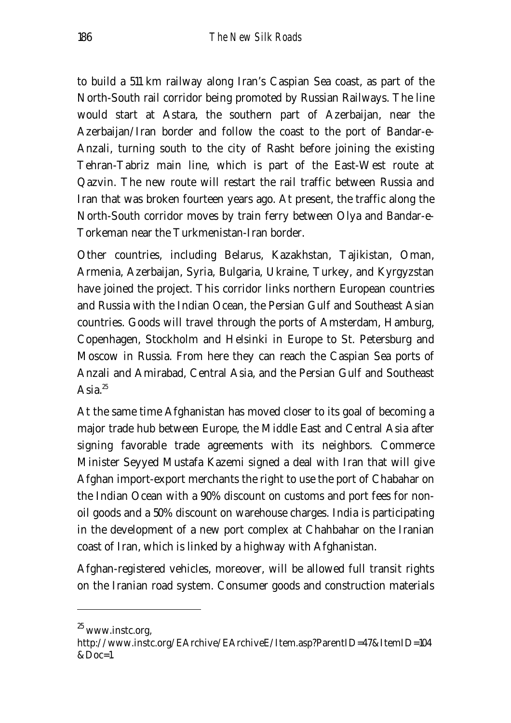to build a 511 km railway along Iran's Caspian Sea coast, as part of the North-South rail corridor being promoted by Russian Railways. The line would start at Astara, the southern part of Azerbaijan, near the Azerbaijan/Iran border and follow the coast to the port of Bandar-e-Anzali, turning south to the city of Rasht before joining the existing Tehran-Tabriz main line, which is part of the East-West route at Qazvin. The new route will restart the rail traffic between Russia and Iran that was broken fourteen years ago. At present, the traffic along the North-South corridor moves by train ferry between Olya and Bandar-e-Torkeman near the Turkmenistan-Iran border.

Other countries, including Belarus, Kazakhstan, Tajikistan, Oman, Armenia, Azerbaijan, Syria, Bulgaria, Ukraine, Turkey, and Kyrgyzstan have joined the project. This corridor links northern European countries and Russia with the Indian Ocean, the Persian Gulf and Southeast Asian countries. Goods will travel through the ports of Amsterdam, Hamburg, Copenhagen, Stockholm and Helsinki in Europe to St. Petersburg and Moscow in Russia. From here they can reach the Caspian Sea ports of Anzali and Amirabad, Central Asia, and the Persian Gulf and Southeast Asia. $^{25}$ 

At the same time Afghanistan has moved closer to its goal of becoming a major trade hub between Europe, the Middle East and Central Asia after signing favorable trade agreements with its neighbors. Commerce Minister Seyyed Mustafa Kazemi signed a deal with Iran that will give Afghan import-export merchants the right to use the port of Chabahar on the Indian Ocean with a 90% discount on customs and port fees for nonoil goods and a 50% discount on warehouse charges. India is participating in the development of a new port complex at Chahbahar on the Iranian coast of Iran, which is linked by a highway with Afghanistan.

Afghan-registered vehicles, moreover, will be allowed full transit rights on the Iranian road system. Consumer goods and construction materials

 $25$  www.instc.org,

http://www.instc.org/EArchive/EArchiveE/Item.asp?ParentID=47&ItemID=104 &Doc=1.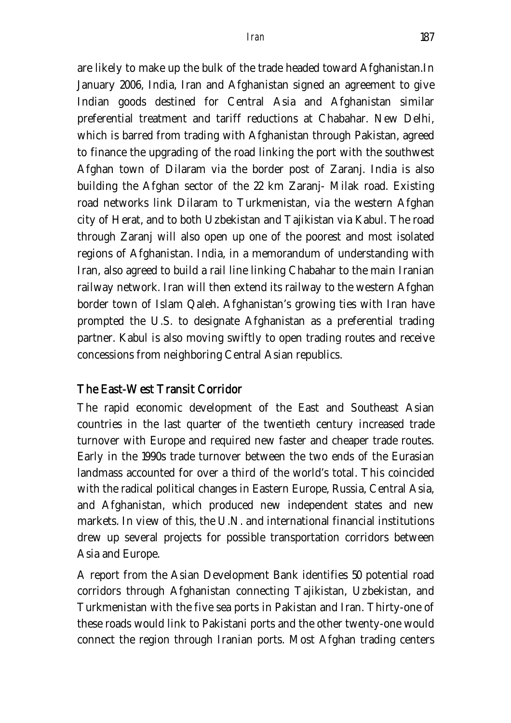are likely to make up the bulk of the trade headed toward Afghanistan.In January 2006, India, Iran and Afghanistan signed an agreement to give Indian goods destined for Central Asia and Afghanistan similar preferential treatment and tariff reductions at Chabahar. New Delhi, which is barred from trading with Afghanistan through Pakistan, agreed to finance the upgrading of the road linking the port with the southwest Afghan town of Dilaram via the border post of Zaranj. India is also building the Afghan sector of the 22 km Zaranj- Milak road. Existing road networks link Dilaram to Turkmenistan, via the western Afghan city of Herat, and to both Uzbekistan and Tajikistan via Kabul. The road through Zaranj will also open up one of the poorest and most isolated regions of Afghanistan. India, in a memorandum of understanding with Iran, also agreed to build a rail line linking Chabahar to the main Iranian railway network. Iran will then extend its railway to the western Afghan border town of Islam Qaleh. Afghanistan's growing ties with Iran have prompted the U.S. to designate Afghanistan as a preferential trading partner. Kabul is also moving swiftly to open trading routes and receive concessions from neighboring Central Asian republics.

## The East-West Transit Corridor

The rapid economic development of the East and Southeast Asian countries in the last quarter of the twentieth century increased trade turnover with Europe and required new faster and cheaper trade routes. Early in the 1990s trade turnover between the two ends of the Eurasian landmass accounted for over a third of the world's total. This coincided with the radical political changes in Eastern Europe, Russia, Central Asia, and Afghanistan, which produced new independent states and new markets. In view of this, the U.N. and international financial institutions drew up several projects for possible transportation corridors between Asia and Europe.

A report from the Asian Development Bank identifies 50 potential road corridors through Afghanistan connecting Tajikistan, Uzbekistan, and Turkmenistan with the five sea ports in Pakistan and Iran. Thirty-one of these roads would link to Pakistani ports and the other twenty-one would connect the region through Iranian ports. Most Afghan trading centers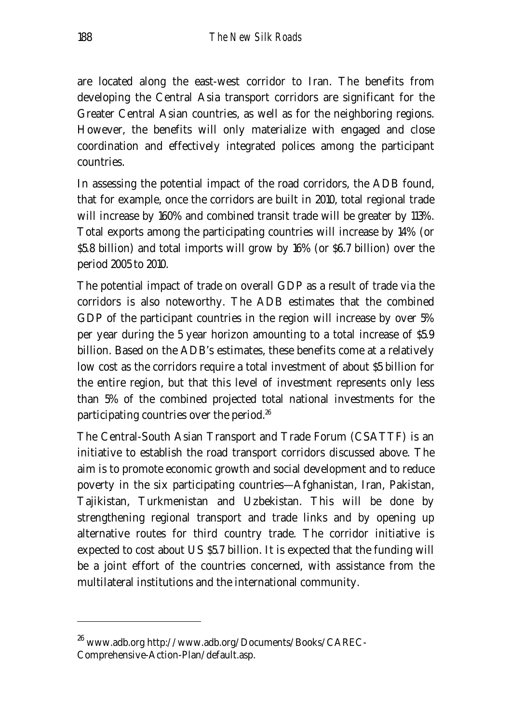are located along the east-west corridor to Iran. The benefits from developing the Central Asia transport corridors are significant for the Greater Central Asian countries, as well as for the neighboring regions. However, the benefits will only materialize with engaged and close coordination and effectively integrated polices among the participant countries.

In assessing the potential impact of the road corridors, the ADB found, that for example, once the corridors are built in 2010, total regional trade will increase by 160% and combined transit trade will be greater by 113%. Total exports among the participating countries will increase by 14% (or \$5.8 billion) and total imports will grow by 16% (or \$6.7 billion) over the period 2005 to 2010.

The potential impact of trade on overall GDP as a result of trade via the corridors is also noteworthy. The ADB estimates that the combined GDP of the participant countries in the region will increase by over 5% per year during the 5 year horizon amounting to a total increase of \$5.9 billion. Based on the ADB's estimates, these benefits come at a relatively low cost as the corridors require a total investment of about \$5 billion for the entire region, but that this level of investment represents only less than 5% of the combined projected total national investments for the participating countries over the period.<sup>26</sup>

The Central-South Asian Transport and Trade Forum (CSATTF) is an initiative to establish the road transport corridors discussed above. The aim is to promote economic growth and social development and to reduce poverty in the six participating countries—Afghanistan, Iran, Pakistan, Tajikistan, Turkmenistan and Uzbekistan. This will be done by strengthening regional transport and trade links and by opening up alternative routes for third country trade. The corridor initiative is expected to cost about US \$5.7 billion. It is expected that the funding will be a joint effort of the countries concerned, with assistance from the multilateral institutions and the international community.

<sup>26</sup> www.adb.org http://www.adb.org/Documents/Books/CAREC-Comprehensive-Action-Plan/default.asp.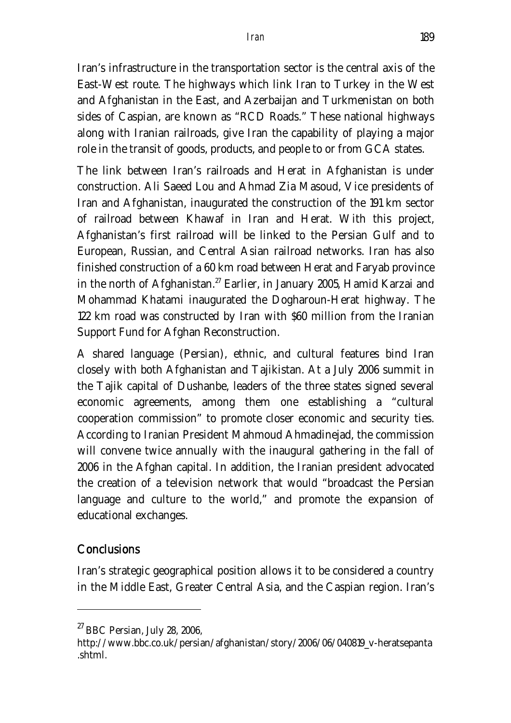Iran's infrastructure in the transportation sector is the central axis of the East-West route. The highways which link Iran to Turkey in the West and Afghanistan in the East, and Azerbaijan and Turkmenistan on both sides of Caspian, are known as "RCD Roads." These national highways along with Iranian railroads, give Iran the capability of playing a major role in the transit of goods, products, and people to or from GCA states.

The link between Iran's railroads and Herat in Afghanistan is under construction. Ali Saeed Lou and Ahmad Zia Masoud, Vice presidents of Iran and Afghanistan, inaugurated the construction of the 191 km sector of railroad between Khawaf in Iran and Herat. With this project, Afghanistan's first railroad will be linked to the Persian Gulf and to European, Russian, and Central Asian railroad networks. Iran has also finished construction of a 60 km road between Herat and Faryab province in the north of Afghanistan.<sup>27</sup> Earlier, in January 2005, Hamid Karzai and Mohammad Khatami inaugurated the Dogharoun-Herat highway. The 122 km road was constructed by Iran with \$60 million from the Iranian Support Fund for Afghan Reconstruction.

A shared language (Persian), ethnic, and cultural features bind Iran closely with both Afghanistan and Tajikistan. At a July 2006 summit in the Tajik capital of Dushanbe, leaders of the three states signed several economic agreements, among them one establishing a "cultural cooperation commission" to promote closer economic and security ties. According to Iranian President Mahmoud Ahmadinejad, the commission will convene twice annually with the inaugural gathering in the fall of 2006 in the Afghan capital. In addition, the Iranian president advocated the creation of a television network that would "broadcast the Persian language and culture to the world," and promote the expansion of educational exchanges.

## **Conclusions**

 $\overline{a}$ 

Iran's strategic geographical position allows it to be considered a country in the Middle East, Greater Central Asia, and the Caspian region. Iran's

 $27$  BBC Persian, July 28, 2006,

http://www.bbc.co.uk/persian/afghanistan/story/2006/06/040819\_v-heratsepanta .shtml.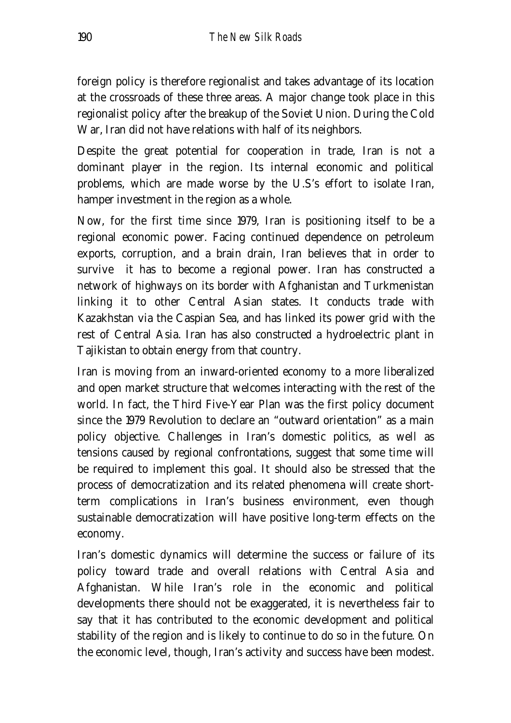foreign policy is therefore regionalist and takes advantage of its location at the crossroads of these three areas. A major change took place in this regionalist policy after the breakup of the Soviet Union. During the Cold War, Iran did not have relations with half of its neighbors.

Despite the great potential for cooperation in trade, Iran is not a dominant player in the region. Its internal economic and political problems, which are made worse by the U.S's effort to isolate Iran, hamper investment in the region as a whole.

Now, for the first time since 1979, Iran is positioning itself to be a regional economic power. Facing continued dependence on petroleum exports, corruption, and a brain drain, Iran believes that in order to survive it has to become a regional power. Iran has constructed a network of highways on its border with Afghanistan and Turkmenistan linking it to other Central Asian states. It conducts trade with Kazakhstan via the Caspian Sea, and has linked its power grid with the rest of Central Asia. Iran has also constructed a hydroelectric plant in Tajikistan to obtain energy from that country.

Iran is moving from an inward-oriented economy to a more liberalized and open market structure that welcomes interacting with the rest of the world. In fact, the Third Five-Year Plan was the first policy document since the 1979 Revolution to declare an "outward orientation" as a main policy objective. Challenges in Iran's domestic politics, as well as tensions caused by regional confrontations, suggest that some time will be required to implement this goal. It should also be stressed that the process of democratization and its related phenomena will create shortterm complications in Iran's business environment, even though sustainable democratization will have positive long-term effects on the economy.

Iran's domestic dynamics will determine the success or failure of its policy toward trade and overall relations with Central Asia and Afghanistan. While Iran's role in the economic and political developments there should not be exaggerated, it is nevertheless fair to say that it has contributed to the economic development and political stability of the region and is likely to continue to do so in the future. On the economic level, though, Iran's activity and success have been modest.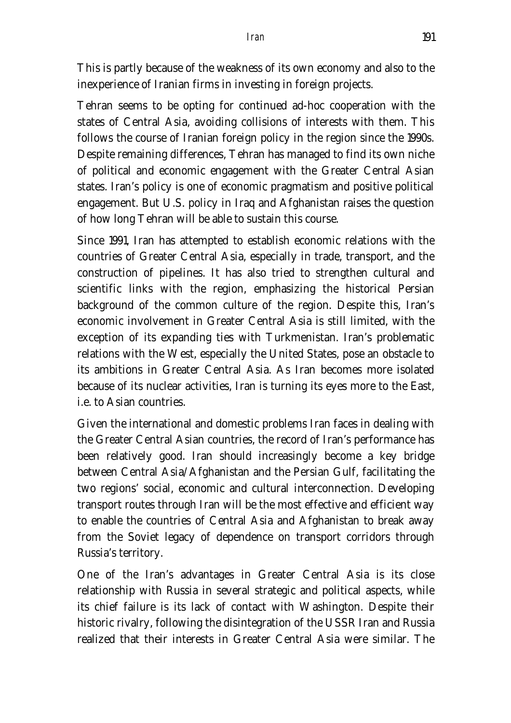This is partly because of the weakness of its own economy and also to the inexperience of Iranian firms in investing in foreign projects.

Tehran seems to be opting for continued ad-hoc cooperation with the states of Central Asia, avoiding collisions of interests with them. This follows the course of Iranian foreign policy in the region since the 1990s. Despite remaining differences, Tehran has managed to find its own niche of political and economic engagement with the Greater Central Asian states. Iran's policy is one of economic pragmatism and positive political engagement. But U.S. policy in Iraq and Afghanistan raises the question of how long Tehran will be able to sustain this course.

Since 1991, Iran has attempted to establish economic relations with the countries of Greater Central Asia, especially in trade, transport, and the construction of pipelines. It has also tried to strengthen cultural and scientific links with the region, emphasizing the historical Persian background of the common culture of the region. Despite this, Iran's economic involvement in Greater Central Asia is still limited, with the exception of its expanding ties with Turkmenistan. Iran's problematic relations with the West, especially the United States, pose an obstacle to its ambitions in Greater Central Asia. As Iran becomes more isolated because of its nuclear activities, Iran is turning its eyes more to the East, i.e. to Asian countries.

Given the international and domestic problems Iran faces in dealing with the Greater Central Asian countries, the record of Iran's performance has been relatively good. Iran should increasingly become a key bridge between Central Asia/Afghanistan and the Persian Gulf, facilitating the two regions' social, economic and cultural interconnection. Developing transport routes through Iran will be the most effective and efficient way to enable the countries of Central Asia and Afghanistan to break away from the Soviet legacy of dependence on transport corridors through Russia's territory.

One of the Iran's advantages in Greater Central Asia is its close relationship with Russia in several strategic and political aspects, while its chief failure is its lack of contact with Washington. Despite their historic rivalry, following the disintegration of the USSR Iran and Russia realized that their interests in Greater Central Asia were similar. The